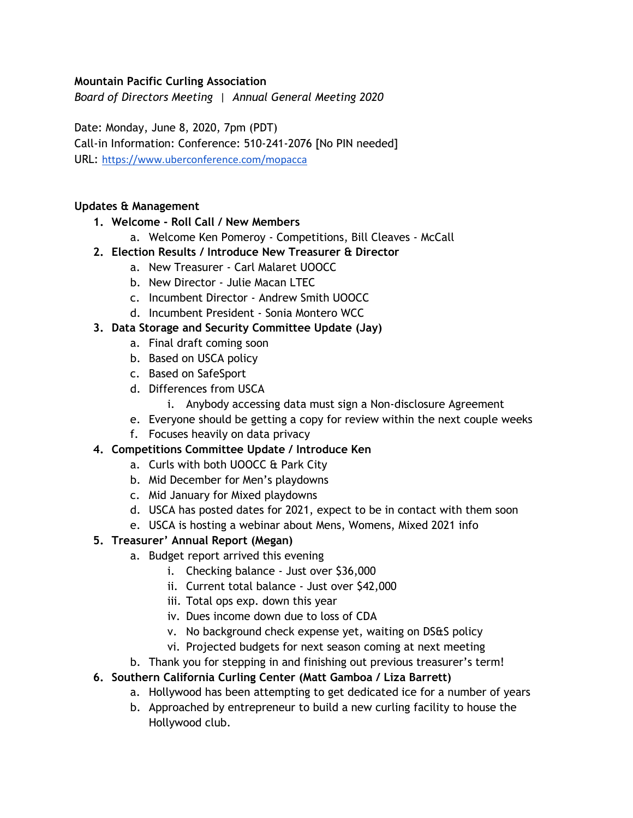### **Mountain Pacific Curling Association**

*Board of Directors Meeting | Annual General Meeting 2020*

Date: Monday, June 8, 2020, 7pm (PDT) Call-in Information: Conference: 510-241-2076 [No PIN needed] URL: <https://www.uberconference.com/mopacca>

#### **Updates & Management**

- **1. Welcome - Roll Call / New Members**
	- a. Welcome Ken Pomeroy Competitions, Bill Cleaves McCall
- **2. Election Results / Introduce New Treasurer & Director**
	- a. New Treasurer Carl Malaret UOOCC
		- b. New Director Julie Macan LTEC
		- c. Incumbent Director Andrew Smith UOOCC
		- d. Incumbent President Sonia Montero WCC

### **3. Data Storage and Security Committee Update (Jay)**

- a. Final draft coming soon
- b. Based on USCA policy
- c. Based on SafeSport
- d. Differences from USCA
	- i. Anybody accessing data must sign a Non-disclosure Agreement
- e. Everyone should be getting a copy for review within the next couple weeks
- f. Focuses heavily on data privacy

### **4. Competitions Committee Update / Introduce Ken**

- a. Curls with both UOOCC & Park City
- b. Mid December for Men's playdowns
- c. Mid January for Mixed playdowns
- d. USCA has posted dates for 2021, expect to be in contact with them soon
- e. USCA is hosting a webinar about Mens, Womens, Mixed 2021 info

## **5. Treasurer' Annual Report (Megan)**

- a. Budget report arrived this evening
	- i. Checking balance Just over \$36,000
	- ii. Current total balance Just over \$42,000
	- iii. Total ops exp. down this year
	- iv. Dues income down due to loss of CDA
	- v. No background check expense yet, waiting on DS&S policy
	- vi. Projected budgets for next season coming at next meeting
- b. Thank you for stepping in and finishing out previous treasurer's term!

## **6. Southern California Curling Center (Matt Gamboa / Liza Barrett)**

- a. Hollywood has been attempting to get dedicated ice for a number of years
- b. Approached by entrepreneur to build a new curling facility to house the Hollywood club.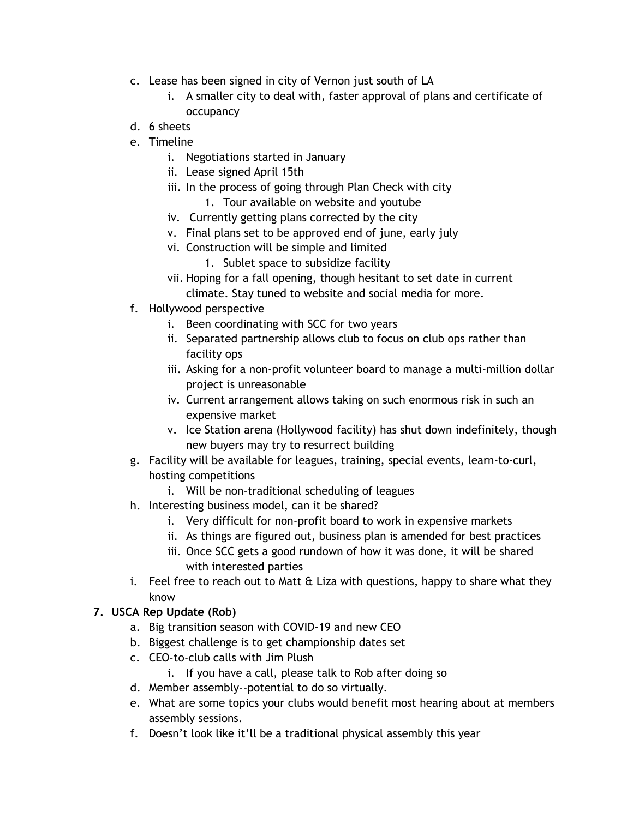- c. Lease has been signed in city of Vernon just south of LA
	- i. A smaller city to deal with, faster approval of plans and certificate of occupancy
- d. 6 sheets
- e. Timeline
	- i. Negotiations started in January
	- ii. Lease signed April 15th
	- iii. In the process of going through Plan Check with city 1. Tour available on website and youtube
	- iv. Currently getting plans corrected by the city
	- v. Final plans set to be approved end of june, early july
	- vi. Construction will be simple and limited
		- 1. Sublet space to subsidize facility
	- vii. Hoping for a fall opening, though hesitant to set date in current climate. Stay tuned to website and social media for more.
- f. Hollywood perspective
	- i. Been coordinating with SCC for two years
	- ii. Separated partnership allows club to focus on club ops rather than facility ops
	- iii. Asking for a non-profit volunteer board to manage a multi-million dollar project is unreasonable
	- iv. Current arrangement allows taking on such enormous risk in such an expensive market
	- v. Ice Station arena (Hollywood facility) has shut down indefinitely, though new buyers may try to resurrect building
- g. Facility will be available for leagues, training, special events, learn-to-curl, hosting competitions
	- i. Will be non-traditional scheduling of leagues
- h. Interesting business model, can it be shared?
	- i. Very difficult for non-profit board to work in expensive markets
	- ii. As things are figured out, business plan is amended for best practices
	- iii. Once SCC gets a good rundown of how it was done, it will be shared with interested parties
- i. Feel free to reach out to Matt & Liza with questions, happy to share what they know

## **7. USCA Rep Update (Rob)**

- a. Big transition season with COVID-19 and new CEO
- b. Biggest challenge is to get championship dates set
- c. CEO-to-club calls with Jim Plush
	- i. If you have a call, please talk to Rob after doing so
- d. Member assembly--potential to do so virtually.
- e. What are some topics your clubs would benefit most hearing about at members assembly sessions.
- f. Doesn't look like it'll be a traditional physical assembly this year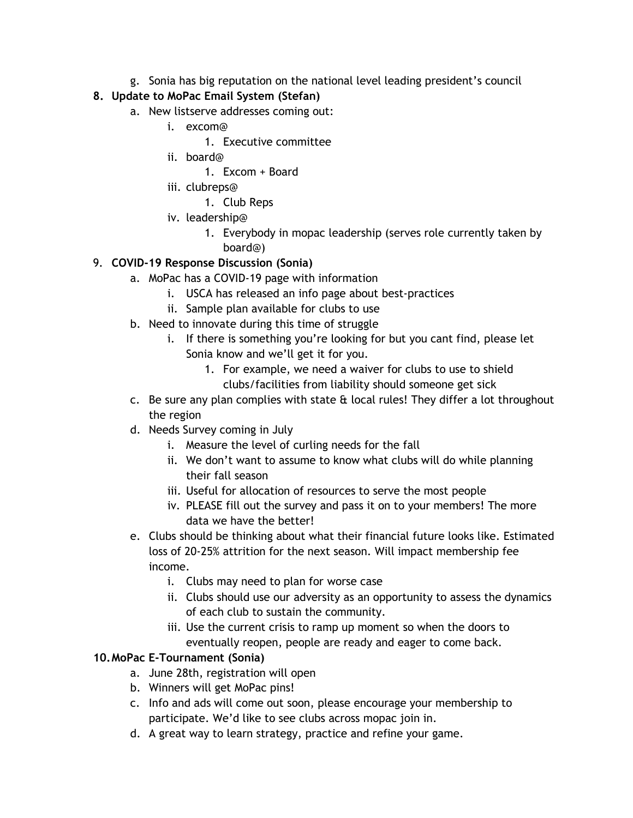g. Sonia has big reputation on the national level leading president's council

# **8. Update to MoPac Email System (Stefan)**

- a. New listserve addresses coming out:
	- i. excom@
		- 1. Executive committee
	- ii. board@
		- 1. Excom + Board
	- iii. clubreps@
		- 1. Club Reps
	- iv. leadership@
		- 1. Everybody in mopac leadership (serves role currently taken by board@)

## 9. **COVID-19 Response Discussion (Sonia)**

- a. MoPac has a COVID-19 page with information
	- i. USCA has released an info page about best-practices
	- ii. Sample plan available for clubs to use
- b. Need to innovate during this time of struggle
	- i. If there is something you're looking for but you cant find, please let Sonia know and we'll get it for you.
		- 1. For example, we need a waiver for clubs to use to shield clubs/facilities from liability should someone get sick
- c. Be sure any plan complies with state  $\alpha$  local rules! They differ a lot throughout the region
- d. Needs Survey coming in July
	- i. Measure the level of curling needs for the fall
	- ii. We don't want to assume to know what clubs will do while planning their fall season
	- iii. Useful for allocation of resources to serve the most people
	- iv. PLEASE fill out the survey and pass it on to your members! The more data we have the better!
- e. Clubs should be thinking about what their financial future looks like. Estimated loss of 20-25% attrition for the next season. Will impact membership fee income.
	- i. Clubs may need to plan for worse case
	- ii. Clubs should use our adversity as an opportunity to assess the dynamics of each club to sustain the community.
	- iii. Use the current crisis to ramp up moment so when the doors to eventually reopen, people are ready and eager to come back.

## **10.MoPac E-Tournament (Sonia)**

- a. June 28th, registration will open
- b. Winners will get MoPac pins!
- c. Info and ads will come out soon, please encourage your membership to participate. We'd like to see clubs across mopac join in.
- d. A great way to learn strategy, practice and refine your game.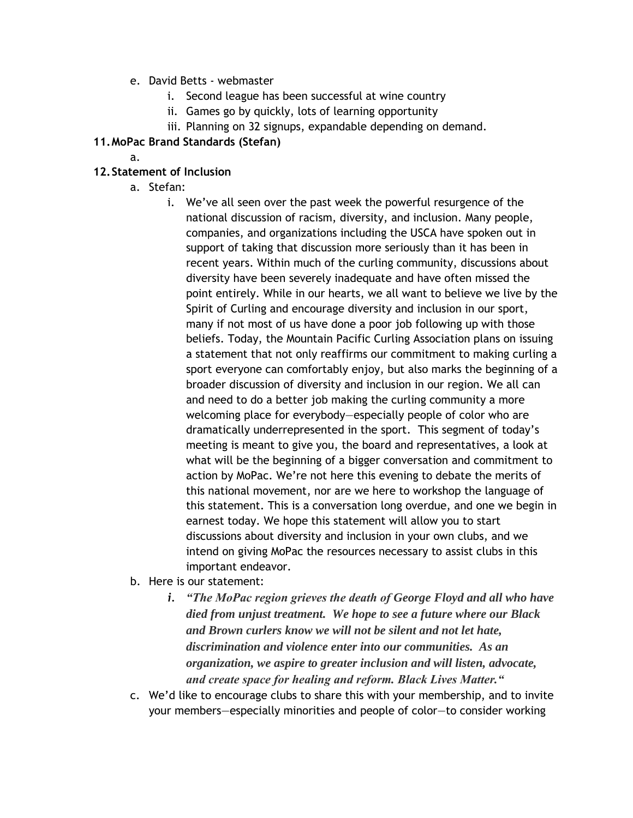- e. David Betts webmaster
	- i. Second league has been successful at wine country
	- ii. Games go by quickly, lots of learning opportunity
	- iii. Planning on 32 signups, expandable depending on demand.

### **11.MoPac Brand Standards (Stefan)**

a.

### **12.Statement of Inclusion**

- a. Stefan:
	- i. We've all seen over the past week the powerful resurgence of the national discussion of racism, diversity, and inclusion. Many people, companies, and organizations including the USCA have spoken out in support of taking that discussion more seriously than it has been in recent years. Within much of the curling community, discussions about diversity have been severely inadequate and have often missed the point entirely. While in our hearts, we all want to believe we live by the Spirit of Curling and encourage diversity and inclusion in our sport, many if not most of us have done a poor job following up with those beliefs. Today, the Mountain Pacific Curling Association plans on issuing a statement that not only reaffirms our commitment to making curling a sport everyone can comfortably enjoy, but also marks the beginning of a broader discussion of diversity and inclusion in our region. We all can and need to do a better job making the curling community a more welcoming place for everybody—especially people of color who are dramatically underrepresented in the sport. This segment of today's meeting is meant to give you, the board and representatives, a look at what will be the beginning of a bigger conversation and commitment to action by MoPac. We're not here this evening to debate the merits of this national movement, nor are we here to workshop the language of this statement. This is a conversation long overdue, and one we begin in earnest today. We hope this statement will allow you to start discussions about diversity and inclusion in your own clubs, and we intend on giving MoPac the resources necessary to assist clubs in this important endeavor.
- b. Here is our statement:
	- *i. "The MoPac region grieves the death of George Floyd and all who have died from unjust treatment. We hope to see a future where our Black and Brown curlers know we will not be silent and not let hate, discrimination and violence enter into our communities. As an organization, we aspire to greater inclusion and will listen, advocate, and create space for healing and reform. Black Lives Matter."*
- c. We'd like to encourage clubs to share this with your membership, and to invite your members—especially minorities and people of color—to consider working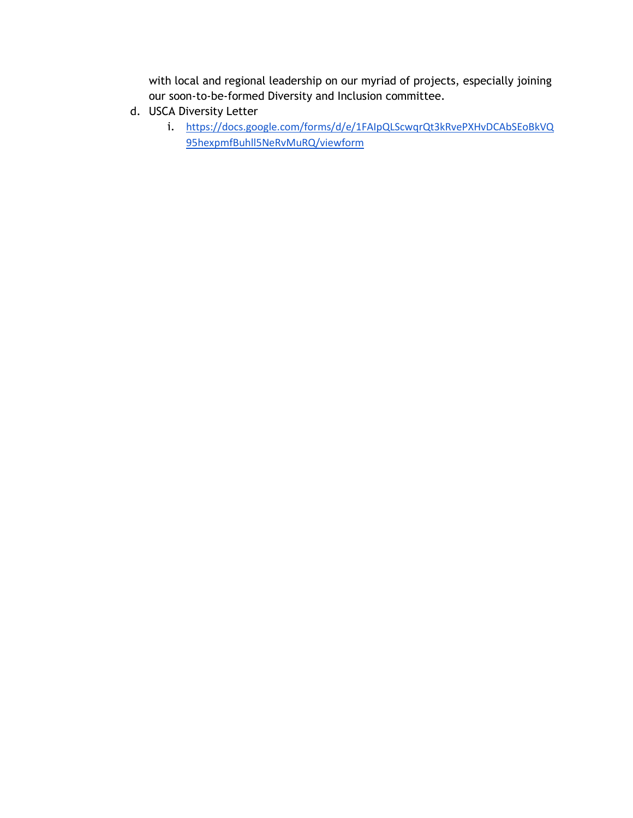with local and regional leadership on our myriad of projects, especially joining our soon-to-be-formed Diversity and Inclusion committee.

- d. USCA Diversity Letter
	- i. [https://docs.google.com/forms/d/e/1FAIpQLScwqrQt3kRvePXHvDCAbSEoBkVQ](https://docs.google.com/forms/d/e/1FAIpQLScwqrQt3kRvePXHvDCAbSEoBkVQ95hexpmfBuhll5NeRvMuRQ/viewform) [95hexpmfBuhll5NeRvMuRQ/viewform](https://docs.google.com/forms/d/e/1FAIpQLScwqrQt3kRvePXHvDCAbSEoBkVQ95hexpmfBuhll5NeRvMuRQ/viewform)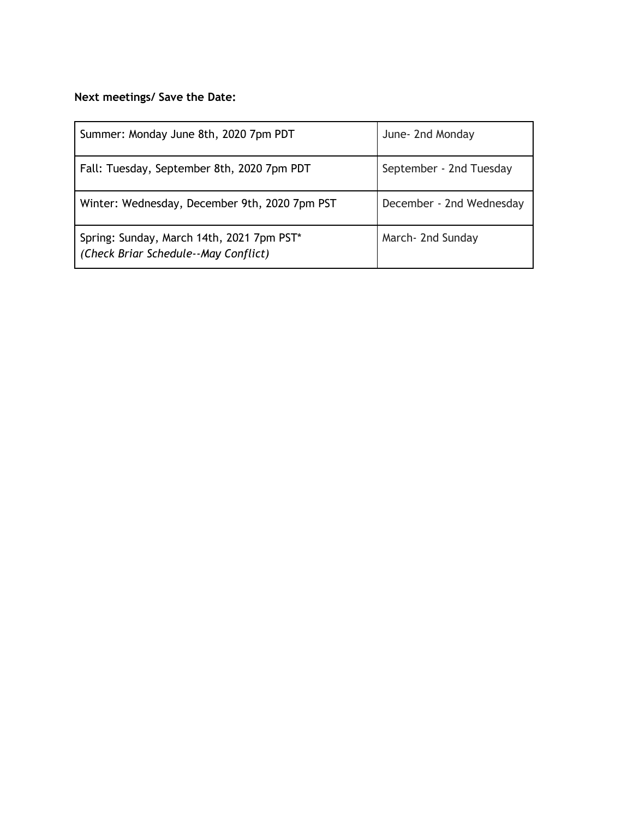# **Next meetings/ Save the Date:**

| Summer: Monday June 8th, 2020 7pm PDT                                             | June- 2nd Monday         |
|-----------------------------------------------------------------------------------|--------------------------|
| Fall: Tuesday, September 8th, 2020 7pm PDT                                        | September - 2nd Tuesday  |
| Winter: Wednesday, December 9th, 2020 7pm PST                                     | December - 2nd Wednesday |
| Spring: Sunday, March 14th, 2021 7pm PST*<br>(Check Briar Schedule--May Conflict) | March- 2nd Sunday        |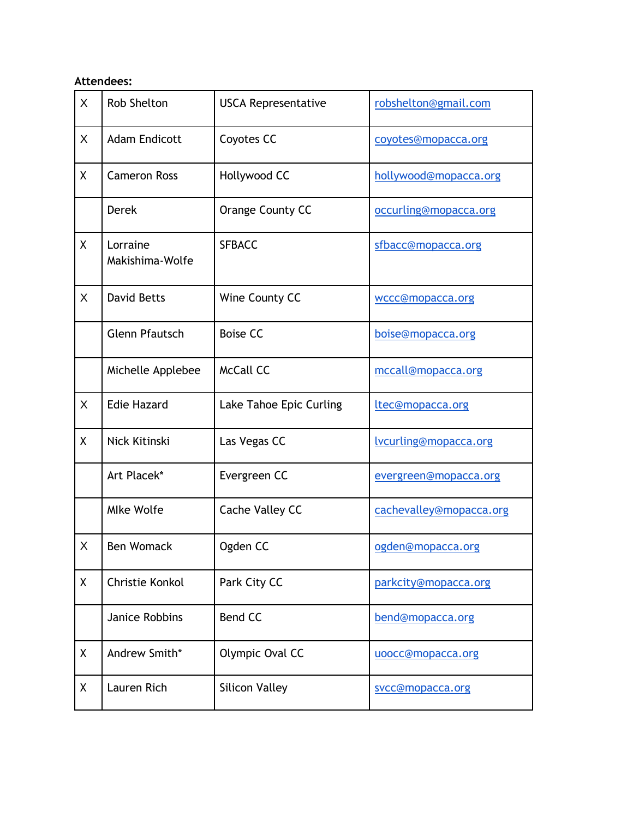## **Attendees:**

| $\sf X$      | <b>Rob Shelton</b>          | <b>USCA Representative</b> | robshelton@gmail.com    |
|--------------|-----------------------------|----------------------------|-------------------------|
| X            | <b>Adam Endicott</b>        | Coyotes CC                 | coyotes@mopacca.org     |
| X            | <b>Cameron Ross</b>         | Hollywood CC               | hollywood@mopacca.org   |
|              | <b>Derek</b>                | Orange County CC           | occurling@mopacca.org   |
| X            | Lorraine<br>Makishima-Wolfe | <b>SFBACC</b>              | sfbacc@mopacca.org      |
| X            | <b>David Betts</b>          | Wine County CC             | wccc@mopacca.org        |
|              | <b>Glenn Pfautsch</b>       | <b>Boise CC</b>            | boise@mopacca.org       |
|              | Michelle Applebee           | <b>McCall CC</b>           | mccall@mopacca.org      |
| $\mathsf{X}$ | <b>Edie Hazard</b>          | Lake Tahoe Epic Curling    | ltec@mopacca.org        |
| χ            | Nick Kitinski               | Las Vegas CC               | lvcurling@mopacca.org   |
|              | Art Placek*                 | Evergreen CC               | evergreen@mopacca.org   |
|              | Mlke Wolfe                  | Cache Valley CC            | cachevalley@mopacca.org |
| X            | <b>Ben Womack</b>           | Ogden CC                   | ogden@mopacca.org       |
| X            | Christie Konkol             | Park City CC               | parkcity@mopacca.org    |
|              | Janice Robbins              | <b>Bend CC</b>             | bend@mopacca.org        |
| X            | Andrew Smith*               | Olympic Oval CC            | uoocc@mopacca.org       |
| Χ            | Lauren Rich                 | <b>Silicon Valley</b>      | svcc@mopacca.org        |